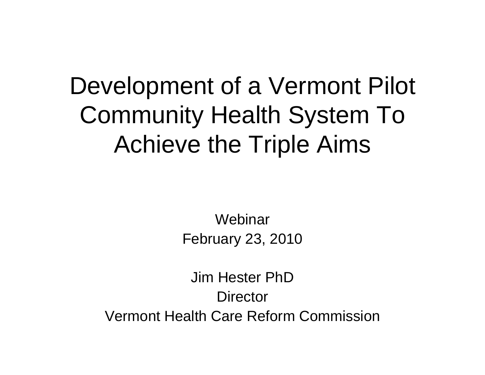### Development of a Vermont Pilot Community Health System To Achieve the Triple Aims

**Webinar** February 23, 2010

Jim Hester PhD**Director** Vermont Health Care Reform Commission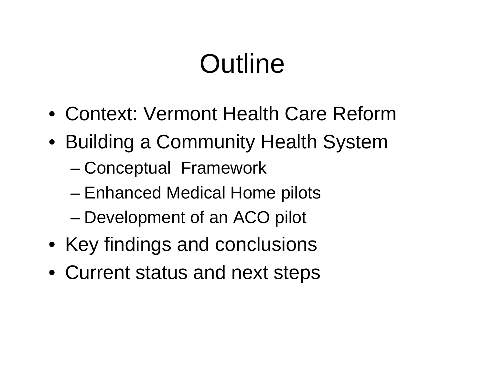# **Outline**

- Context: Vermont Health Care Reform
- Building a Community Health System
	- Conceptual Framework
	- Enhanced Medical Home pilots
	- Development of an ACO pilot
- Key findings and conclusions
- Current status and next steps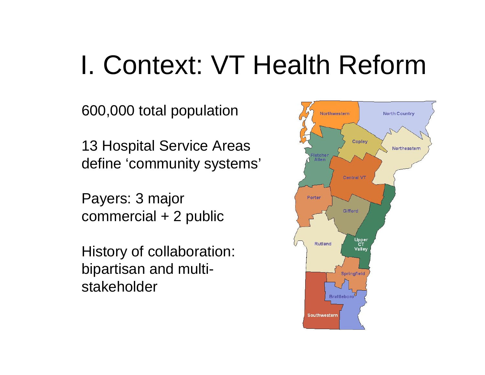# I. Context: VT Health Reform

600,000 total population

13 Hospital Service Areas define 'community systems'

Payers: 3 major commercial + 2 public

History of collaboration: bipartisan and multistakeholder

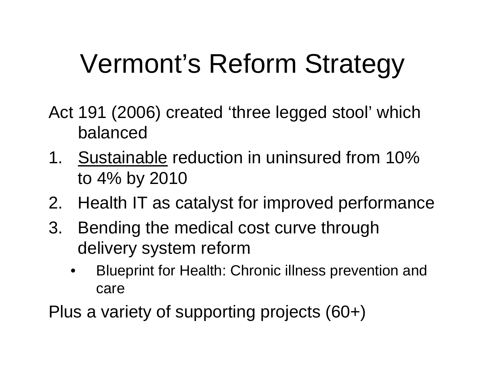# Vermont's Reform Strategy

- Act 191 (2006) created 'three legged stool' which balanced
- 1. Sustainable reduction in uninsured from 10% to 4% by 2010
- 2. Health IT as catalyst for improved performance
- 3. Bending the medical cost curve through delivery system reform
	- Blueprint for Health: Chronic illness prevention and care

Plus a variety of supporting projects (60+)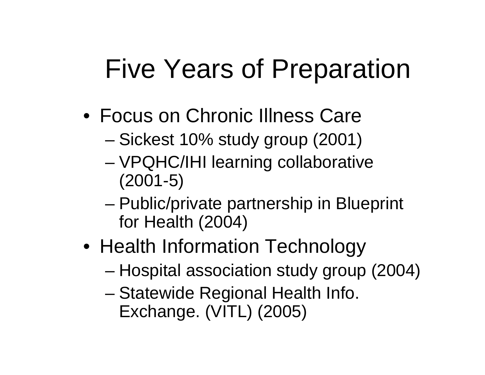## Five Years of Preparation

- Focus on Chronic Illness Care
	- Sickest 10% study group (2001)
	- VPQHC/IHI learning collaborative (2001-5)
	- Public/private partnership in Blueprint for Health (2004)
- Health Information Technology
	- Hospital association study group (2004)
	- Statewide Regional Health Info. Exchange. (VITL) (2005)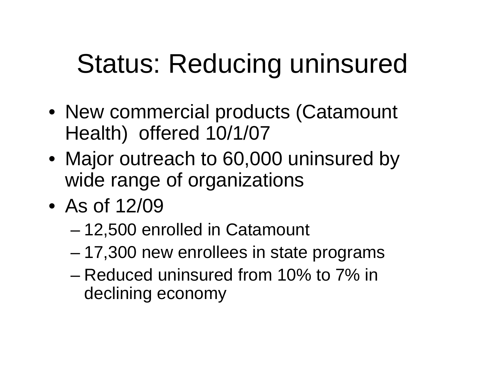# Status: Reducing uninsured

- New commercial products (Catamount Health) offered 10/1/07
- Major outreach to 60,000 uninsured by wide range of organizations
- As of 12/09
	- 12,500 enrolled in Catamount
	- 17,300 new enrollees in state programs
	- Reduced uninsured from 10% to 7% in declining economy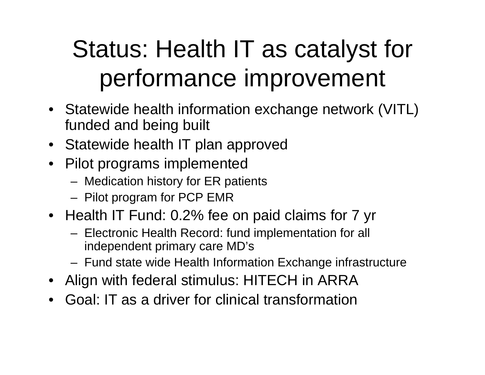## Status: Health IT as catalyst for performance improvement

- Statewide health information exchange network (VITL) funded and being built
- Statewide health IT plan approved
- Pilot programs implemented
	- Medication history for ER patients
	- Pilot program for PCP EMR
- Health IT Fund: 0.2% fee on paid claims for 7 yr
	- Electronic Health Record: fund implementation for all independent primary care MD's
	- Fund state wide Health Information Exchange infrastructure
- Align with federal stimulus: HITECH in ARRA
- Goal: IT as a driver for clinical transformation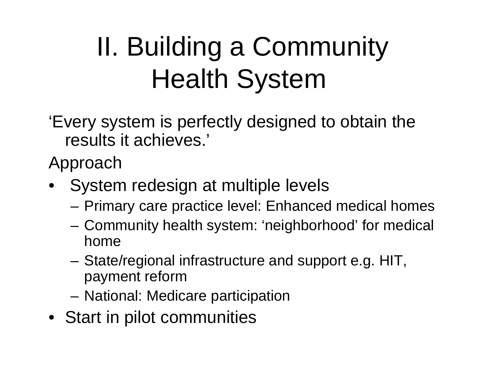# II. Building a Community Health System

'Every system is perfectly designed to obtain the results it achieves.'

Approach

- System redesign at multiple levels
	- Primary care practice level: Enhanced medical homes
	- Community health system: 'neighborhood' for medical home
	- State/regional infrastructure and support e.g. HIT, payment reform
	- National: Medicare participation
- Start in pilot communities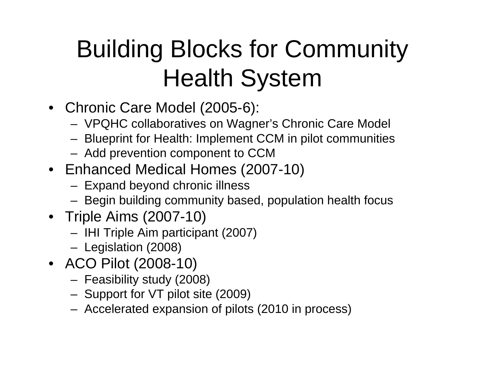## Building Blocks for Community Health System

- Chronic Care Model (2005-6):
	- VPQHC collaboratives on Wagner's Chronic Care Model
	- Blueprint for Health: Implement CCM in pilot communities
	- Add prevention component to CCM
- Enhanced Medical Homes (2007-10)
	- Expand beyond chronic illness
	- Begin building community based, population health focus
- Triple Aims (2007-10)
	- IHI Triple Aim participant (2007)
	- Legislation (2008)
- ACO Pilot (2008-10)
	- Feasibility study (2008)
	- Support for VT pilot site (2009)
	- Accelerated expansion of pilots (2010 in process)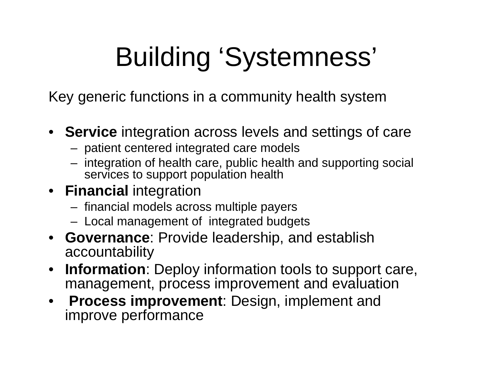# Building 'Systemness'

Key generic functions in a community health system

- **Service** integration across levels and settings of care
	- patient centered integrated care models
	- integration of health care, public health and supporting social services to support population health
- **Financial** integration
	- financial models across multiple payers
	- Local management of integrated budgets
- **Governance**: Provide leadership, and establish accountability
- **Information**: Deploy information tools to support care, management, process improvement and evaluation
- **Process improvement**: Design, implement and improve performance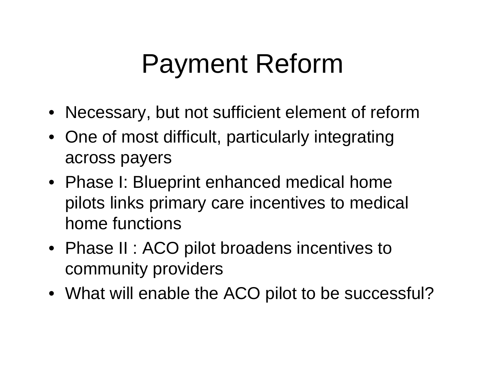# Payment Reform

- Necessary, but not sufficient element of reform
- One of most difficult, particularly integrating across payers
- Phase I: Blueprint enhanced medical home pilots links primary care incentives to medical home functions
- Phase II : ACO pilot broadens incentives to community providers
- What will enable the ACO pilot to be successful?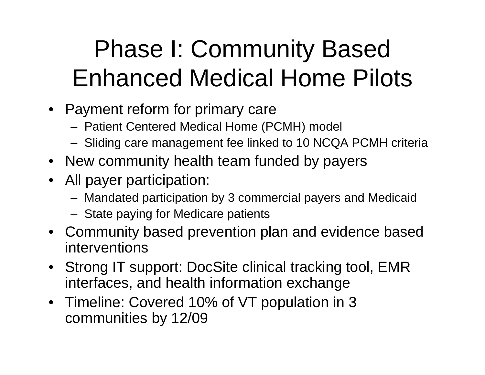## Phase I: Community Based Enhanced Medical Home Pilots

- Payment reform for primary care
	- Patient Centered Medical Home (PCMH) model
	- Sliding care management fee linked to 10 NCQA PCMH criteria
- New community health team funded by payers
- All payer participation:
	- Mandated participation by 3 commercial payers and Medicaid
	- State paying for Medicare patients
- Community based prevention plan and evidence based interventions
- Strong IT support: DocSite clinical tracking tool, EMR interfaces, and health information exchange
- Timeline: Covered 10% of VT population in 3 communities by 12/09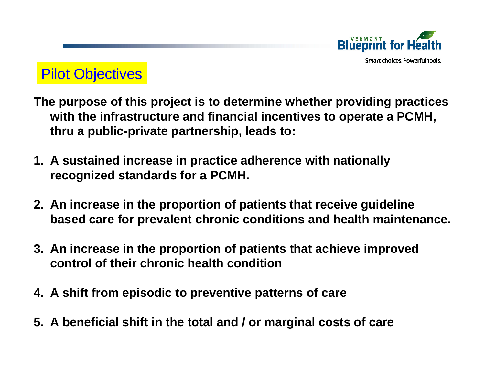

Smart choices, Powerful tools.

### Pilot Objectives

- **The purpose of this project is to determine whether providing practices with the infrastructure and financial incentives to operate a PCMH, thru a public-private partnership, leads to:**
- **1. A sustained increase in practice adherence with nationally recognized standards for a PCMH.**
- **2. An increase in the proportion of patients that receive guideline based care for prevalent chronic conditions and health maintenance.**
- **3. An increase in the proportion of patients that achieve improved control of their chronic health condition**
- **4. A shift from episodic to preventive patterns of care**
- **5. A beneficial shift in the total and / or marginal costs of care**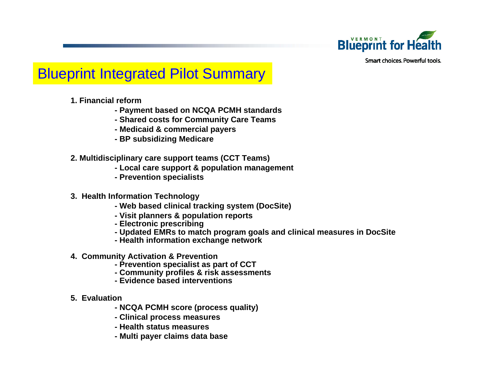

Smart choices. Powerful tools.

### Blueprint Integrated Pilot Summary

- **1. Financial reform** 
	- **Payment based on NCQA PCMH standards**
	- **Shared costs for Community Care Teams**
	- **Medicaid & commercial payers**
	- **BP subsidizing Medicare**
- **2. Multidisciplinary care support teams (CCT Teams)** 
	- **Local care support & population management**
	- **Prevention specialists**
- **3. Health Information Technology** 
	- **Web based clinical tracking system (DocSite)**
	- **Visit planners & population reports**
	- **Electronic prescribing**
	- **Updated EMRs to match program goals and clinical measures in DocSite**
	- **Health information exchange network**
- **4. Community Activation & Prevention** 
	- **Prevention specialist as part of CCT**
	- **Community profiles & risk assessments**
	- **Evidence based interventions**
- **5. Evaluation**
	- **NCQA PCMH score (process quality)**
	- **Clinical process measures**
	- **Health status measures**
	- **Multi payer claims data base**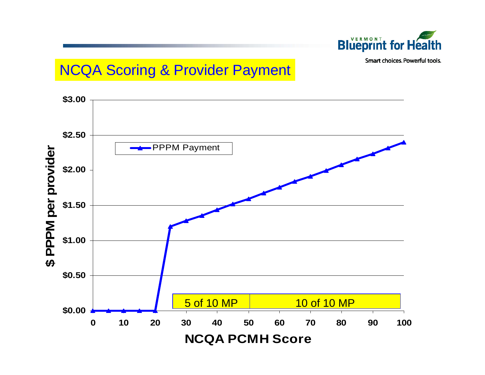

Smart choices. Powerful tools.

### NCQA Scoring & Provider Payment

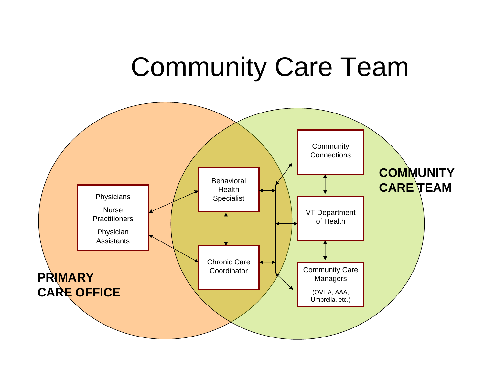## Community Care Team

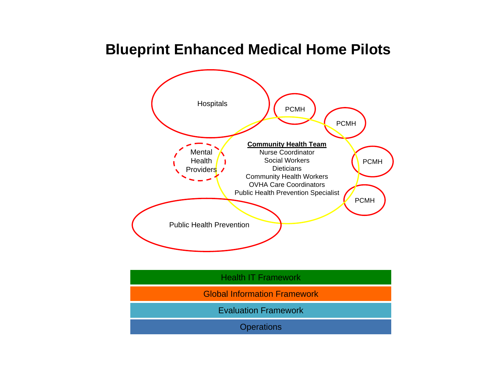### **Blueprint Enhanced Medical Home Pilots**

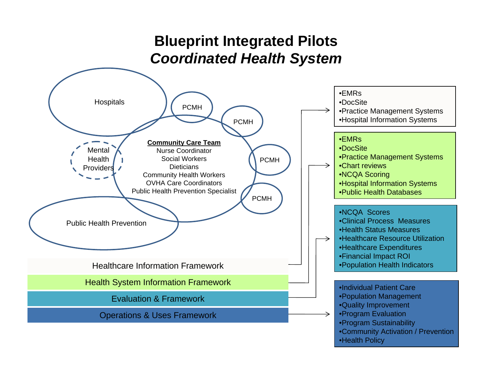### **Blueprint Integrated Pilots** *Coordinated Health System*

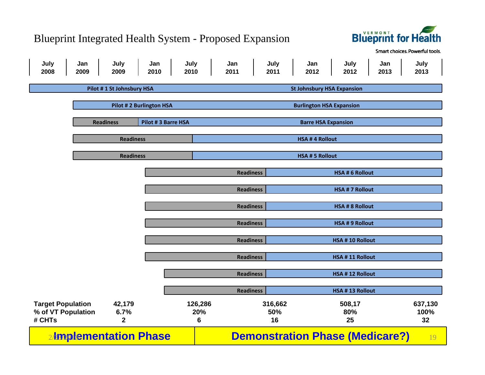#### Blueprint Integrated Health System - Proposed Expansion



Smart choices. Powerful tools.

| July<br>2008                 | Jan<br>2009                            | July<br>2009          | Jan<br>2010             | July<br>2010                      | Jan<br>2011                     | July<br>2011          | Jan<br>2012                            | July<br>2012           | Jan<br>2013 | July<br>2013 |  |  |
|------------------------------|----------------------------------------|-----------------------|-------------------------|-----------------------------------|---------------------------------|-----------------------|----------------------------------------|------------------------|-------------|--------------|--|--|
|                              | Pilot #1 St Johnsbury HSA              |                       |                         | <b>St Johnsbury HSA Expansion</b> |                                 |                       |                                        |                        |             |              |  |  |
|                              |                                        |                       |                         |                                   |                                 |                       |                                        |                        |             |              |  |  |
|                              |                                        |                       | Pilot #2 Burlington HSA |                                   | <b>Burlington HSA Expansion</b> |                       |                                        |                        |             |              |  |  |
|                              | Pilot #3 Barre HSA<br><b>Readiness</b> |                       |                         |                                   | <b>Barre HSA Expansion</b>      |                       |                                        |                        |             |              |  |  |
|                              |                                        |                       |                         |                                   |                                 |                       |                                        |                        |             |              |  |  |
|                              | <b>Readiness</b>                       |                       |                         |                                   |                                 | <b>HSA #4 Rollout</b> |                                        |                        |             |              |  |  |
|                              | <b>Readiness</b>                       |                       |                         |                                   | <b>HSA # 5 Rollout</b>          |                       |                                        |                        |             |              |  |  |
|                              |                                        |                       |                         |                                   |                                 |                       |                                        |                        |             |              |  |  |
|                              |                                        |                       |                         |                                   |                                 | <b>Readiness</b>      |                                        | <b>HSA # 6 Rollout</b> |             |              |  |  |
|                              |                                        |                       |                         |                                   |                                 | <b>Readiness</b>      |                                        | <b>HSA # 7 Rollout</b> |             |              |  |  |
|                              |                                        |                       |                         |                                   |                                 |                       |                                        | <b>HSA # 8 Rollout</b> |             |              |  |  |
|                              |                                        |                       |                         |                                   |                                 | <b>Readiness</b>      |                                        |                        |             |              |  |  |
|                              |                                        |                       |                         |                                   |                                 | <b>Readiness</b>      |                                        | <b>HSA # 9 Rollout</b> |             |              |  |  |
|                              |                                        |                       |                         |                                   |                                 | <b>Readiness</b>      |                                        | HSA #10 Rollout        |             |              |  |  |
|                              |                                        |                       |                         |                                   |                                 |                       |                                        |                        |             |              |  |  |
|                              |                                        |                       |                         |                                   |                                 | <b>Readiness</b>      |                                        | HSA #11 Rollout        |             |              |  |  |
|                              |                                        |                       |                         |                                   |                                 | <b>Readiness</b>      |                                        | HSA #12 Rollout        |             |              |  |  |
|                              |                                        |                       |                         |                                   |                                 |                       |                                        |                        |             |              |  |  |
|                              |                                        |                       |                         |                                   |                                 | <b>Readiness</b>      |                                        | HSA #13 Rollout        |             |              |  |  |
| <b>Target Population</b>     |                                        | 42,179                |                         | 126,286                           |                                 | 316,662               |                                        | 508,17                 |             | 637,130      |  |  |
| % of VT Population<br># CHTs |                                        | 6.7%<br>$\mathbf 2$   |                         | 20%<br>$6\phantom{1}$             |                                 | 50%<br>16             |                                        | 80%<br>25              |             | 100%<br>32   |  |  |
|                              |                                        | 2/mplementation Phase |                         |                                   |                                 |                       | <b>Demonstration Phase (Medicare?)</b> |                        |             | 19           |  |  |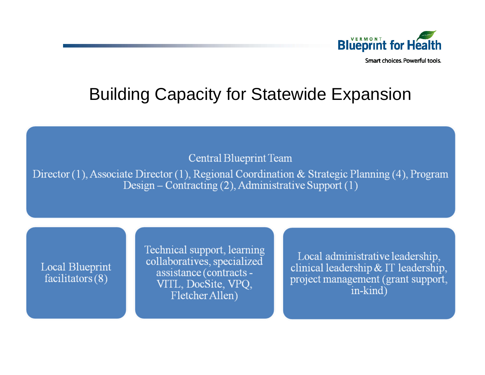

Smart choices. Powerful tools.

### Building Capacity for Statewide Expansion

**Central Blueprint Team** 

Director  $(1)$ , Associate Director  $(1)$ , Regional Coordination & Strategic Planning  $(4)$ , Program Design – Contracting (2), Administrative Support (1)

**Local Blueprint**  $facilitators(8)$ 

Technical support, learning collaboratives, specialized assistance (contracts -VITL, DocSite, VPQ, Fletcher Allen)

Local administrative leadership, clinical leadership  $& \Pi$  leadership. project management (grant support, in-kind)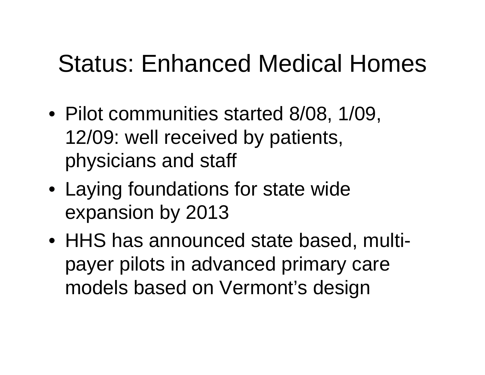### Status: Enhanced Medical Homes

- Pilot communities started 8/08, 1/09, 12/09: well received by patients, physicians and staff
- Laying foundations for state wide expansion by 2013
- HHS has announced state based, multipayer pilots in advanced primary care models based on Vermont's design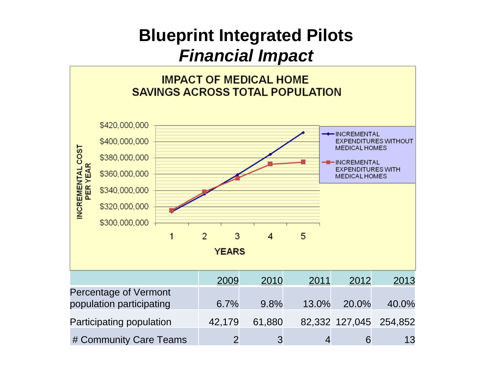### **Blueprint Integrated Pilots** *Financial Impact*

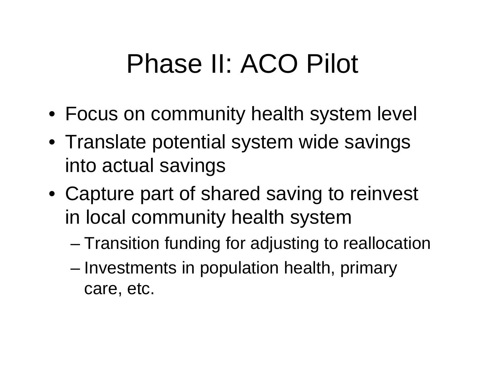# Phase II: ACO Pilot

- Focus on community health system level
- Translate potential system wide savings into actual savings
- Capture part of shared saving to reinvest in local community health system
	- Transition funding for adjusting to reallocation
	- Investments in population health, primary care, etc.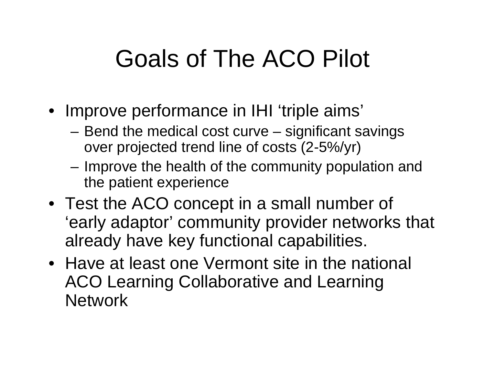## Goals of The ACO Pilot

- Improve performance in IHI 'triple aims'
	- Bend the medical cost curve significant savings over projected trend line of costs (2-5%/yr)
	- Improve the health of the community population and the patient experience
- Test the ACO concept in a small number of 'early adaptor' community provider networks that already have key functional capabilities.
- Have at least one Vermont site in the national ACO Learning Collaborative and Learning **Network**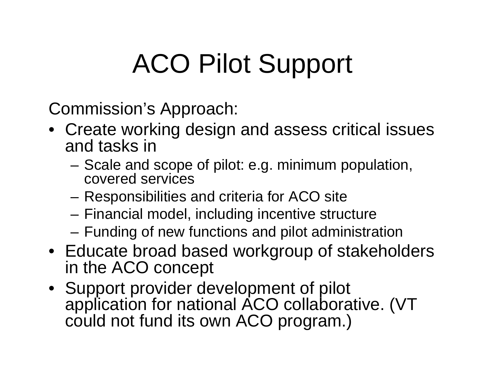# ACO Pilot Support

Commission's Approach:

- Create working design and assess critical issues and tasks in
	- Scale and scope of pilot: e.g. minimum population, covered services
	- Responsibilities and criteria for ACO site
	- Financial model, including incentive structure
	- Funding of new functions and pilot administration
- Educate broad based workgroup of stakeholders in the ACO concept
- Support provider development of pilot application for national ACO collaborative. (VT could not fund its own ACO program.)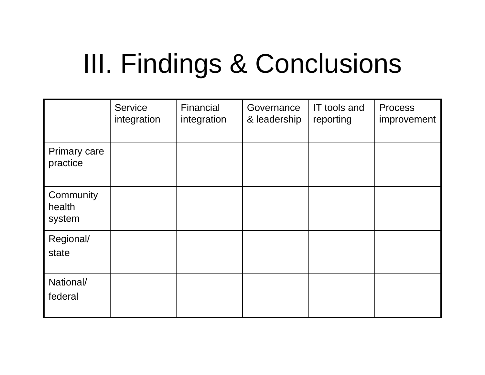# III. Findings & Conclusions

|                                 | <b>Service</b><br>integration | Financial<br>integration | Governance<br>& leadership | IT tools and<br>reporting | <b>Process</b><br>improvement |
|---------------------------------|-------------------------------|--------------------------|----------------------------|---------------------------|-------------------------------|
| <b>Primary care</b><br>practice |                               |                          |                            |                           |                               |
| Community<br>health<br>system   |                               |                          |                            |                           |                               |
| Regional/<br>state              |                               |                          |                            |                           |                               |
| National/<br>federal            |                               |                          |                            |                           |                               |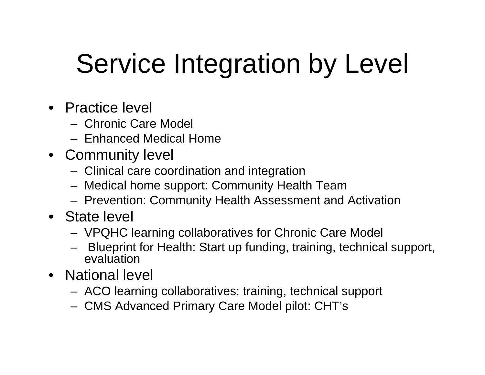# Service Integration by Level

- Practice level
	- Chronic Care Model
	- Enhanced Medical Home
- Community level
	- Clinical care coordination and integration
	- Medical home support: Community Health Team
	- Prevention: Community Health Assessment and Activation
- State level
	- VPQHC learning collaboratives for Chronic Care Model
	- Blueprint for Health: Start up funding, training, technical support, evaluation
- National level
	- ACO learning collaboratives: training, technical support
	- CMS Advanced Primary Care Model pilot: CHT's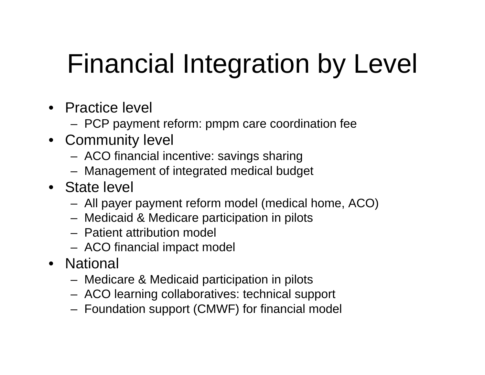# Financial Integration by Level

- Practice level
	- PCP payment reform: pmpm care coordination fee
- Community level
	- ACO financial incentive: savings sharing
	- Management of integrated medical budget
- State level
	- All payer payment reform model (medical home, ACO)
	- Medicaid & Medicare participation in pilots
	- Patient attribution model
	- ACO financial impact model
- National
	- Medicare & Medicaid participation in pilots
	- ACO learning collaboratives: technical support
	- Foundation support (CMWF) for financial model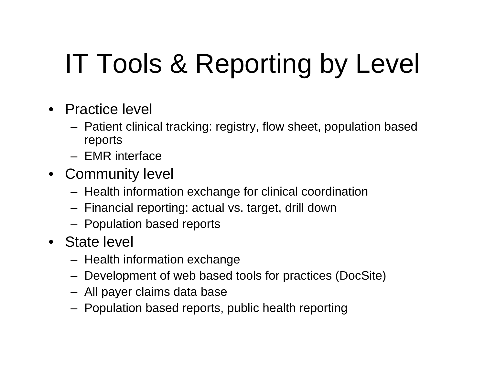# IT Tools & Reporting by Level

- Practice level
	- Patient clinical tracking: registry, flow sheet, population based reports
	- EMR interface
- Community level
	- Health information exchange for clinical coordination
	- Financial reporting: actual vs. target, drill down
	- Population based reports
- State level
	- Health information exchange
	- Development of web based tools for practices (DocSite)
	- All payer claims data base
	- Population based reports, public health reporting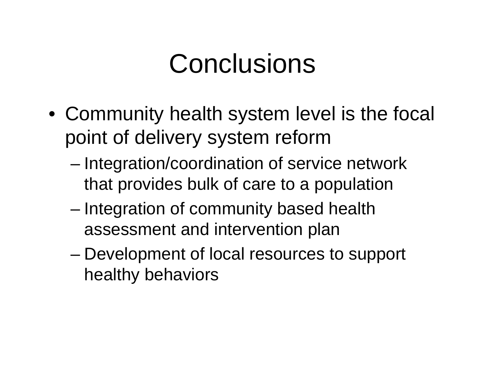## Conclusions

- Community health system level is the focal point of delivery system reform
	- Integration/coordination of service network that provides bulk of care to a population
	- Integration of community based health assessment and intervention plan
	- Development of local resources to support healthy behaviors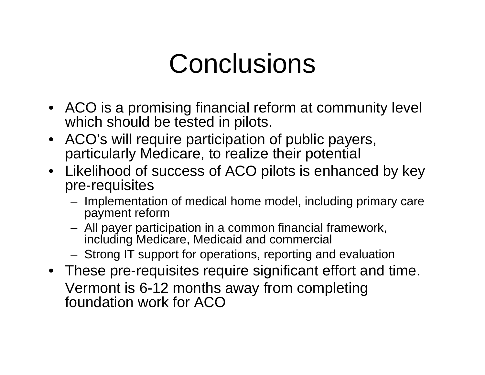## **Conclusions**

- ACO is a promising financial reform at community level which should be tested in pilots.
- ACO's will require participation of public payers, particularly Medicare, to realize their potential
- Likelihood of success of ACO pilots is enhanced by key pre-requisites
	- Implementation of medical home model, including primary care payment reform
	- All payer participation in a common financial framework, including Medicare, Medicaid and commercial
	- Strong IT support for operations, reporting and evaluation
- These pre-requisites require significant effort and time. Vermont is 6-12 months away from completing foundation work for ACO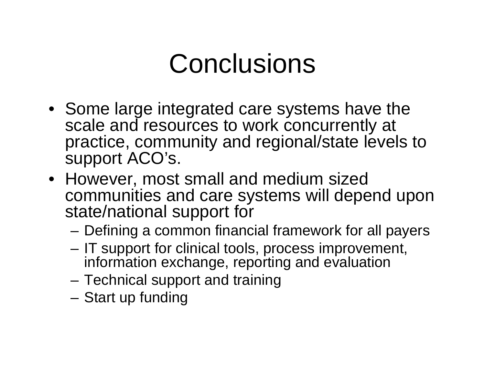## **Conclusions**

- Some large integrated care systems have the scale and resources to work concurrently at practice, community and regional/state levels to support ACO's.
- However, most small and medium sized communities and care systems will depend upon state/national support for
	- Defining a common financial framework for all payers
	- IT support for clinical tools, process improvement, information exchange, reporting and evaluation
	- Technical support and training
	- Start up funding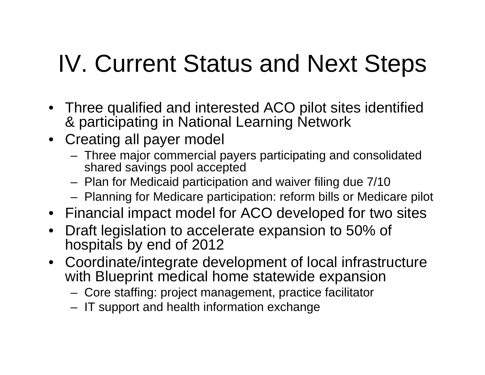## IV. Current Status and Next Steps

- Three qualified and interested ACO pilot sites identified & participating in National Learning Network
- Creating all payer model
	- Three major commercial payers participating and consolidated shared savings pool accepted
	- Plan for Medicaid participation and waiver filing due 7/10
	- Planning for Medicare participation: reform bills or Medicare pilot
- Financial impact model for ACO developed for two sites
- Draft legislation to accelerate expansion to 50% of hospitals by end of 2012
- Coordinate/integrate development of local infrastructure with Blueprint medical home statewide expansion
	- Core staffing: project management, practice facilitator
	- IT support and health information exchange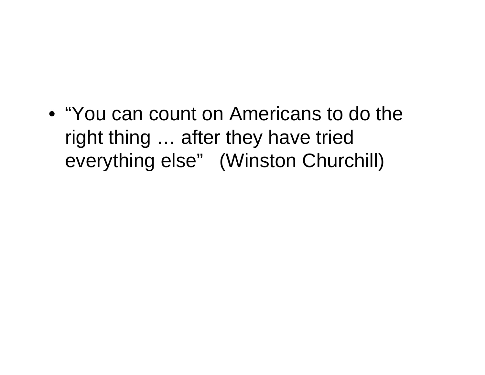• "You can count on Americans to do the right thing … after they have tried everything else" (Winston Churchill)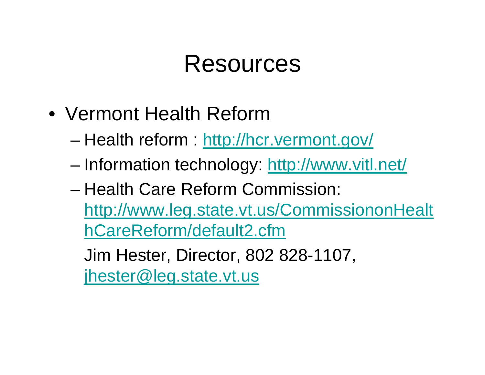### Resources

- Vermont Health Reform
	- Health reform :<http://hcr.vermont.gov/>
	- Information technology:<http://www.vitl.net/>
	- Health Care Reform Commission: [http://www.leg.state.vt.us/CommissiononHealt](http://www.leg.state.vt.us/CommissiononHealthCareReform/default2.cfm)  [hCareReform/default2.cfm](http://www.leg.state.vt.us/CommissiononHealthCareReform/default2.cfm)

Jim Hester, Director, 802 828-1107, [jhester@leg.state.vt.us](mailto:jhester@leg.state.vt.us)